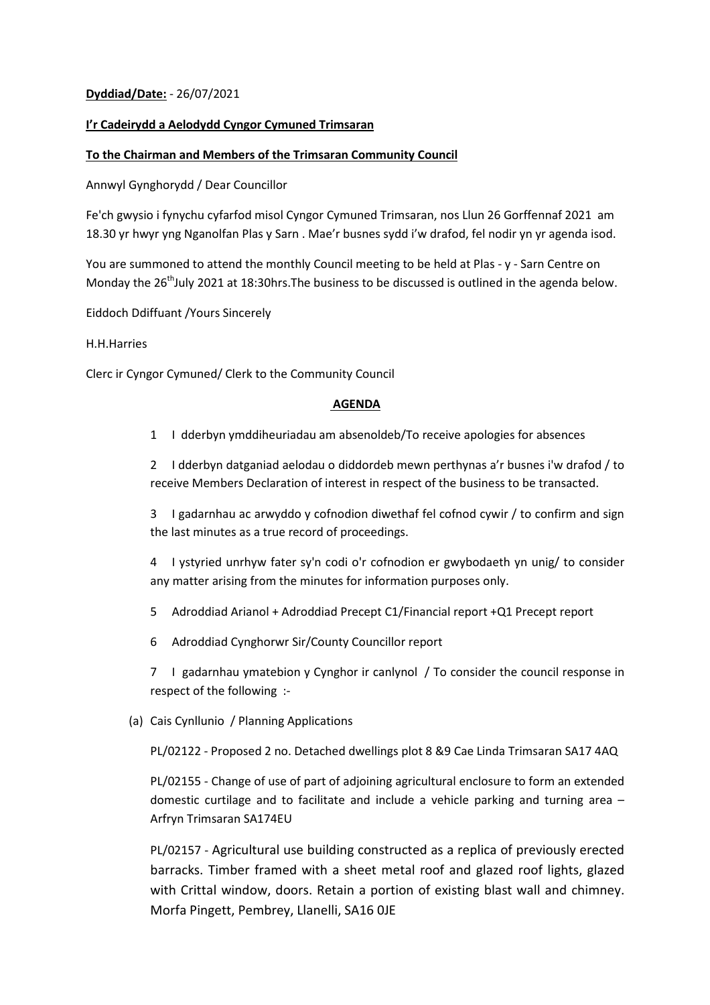# **Dyddiad/Date:** - 26/07/2021

## **I'r Cadeirydd a Aelodydd Cyngor Cymuned Trimsaran**

### **To the Chairman and Members of the Trimsaran Community Council**

Annwyl Gynghorydd / Dear Councillor

Fe'ch gwysio i fynychu cyfarfod misol Cyngor Cymuned Trimsaran, nos Llun 26 Gorffennaf 2021 am 18.30 yr hwyr yng Nganolfan Plas y Sarn . Mae'r busnes sydd i'w drafod, fel nodir yn yr agenda isod.

You are summoned to attend the monthly Council meeting to be held at Plas - y - Sarn Centre on Monday the 26<sup>th</sup>July 2021 at 18:30hrs. The business to be discussed is outlined in the agenda below.

Eiddoch Ddiffuant /Yours Sincerely

### H.H.Harries

Clerc ir Cyngor Cymuned/ Clerk to the Community Council

### **AGENDA**

1 I dderbyn ymddiheuriadau am absenoldeb/To receive apologies for absences

2 I dderbyn datganiad aelodau o diddordeb mewn perthynas a'r busnes i'w drafod / to receive Members Declaration of interest in respect of the business to be transacted.

3 I gadarnhau ac arwyddo y cofnodion diwethaf fel cofnod cywir / to confirm and sign the last minutes as a true record of proceedings.

4 I ystyried unrhyw fater sy'n codi o'r cofnodion er gwybodaeth yn unig/ to consider any matter arising from the minutes for information purposes only.

- 5 Adroddiad Arianol + Adroddiad Precept C1/Financial report +Q1 Precept report
- 6 Adroddiad Cynghorwr Sir/County Councillor report

7 I gadarnhau ymatebion y Cynghor ir canlynol / To consider the council response in respect of the following :-

(a) Cais Cynllunio / Planning Applications

PL/02122 - Proposed 2 no. Detached dwellings plot 8 &9 Cae Linda Trimsaran SA17 4AQ

PL/02155 - Change of use of part of adjoining agricultural enclosure to form an extended domestic curtilage and to facilitate and include a vehicle parking and turning area – Arfryn Trimsaran SA174EU

PL/02157 - Agricultural use building constructed as a replica of previously erected barracks. Timber framed with a sheet metal roof and glazed roof lights, glazed with Crittal window, doors. Retain a portion of existing blast wall and chimney. Morfa Pingett, Pembrey, Llanelli, SA16 0JE